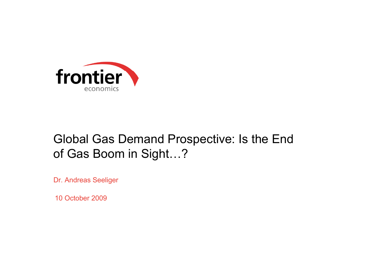

# Global Gas Demand Prospective: Is the End of Gas Boom in Si ght…?

Dr. Andreas Seeliger

10 October 2009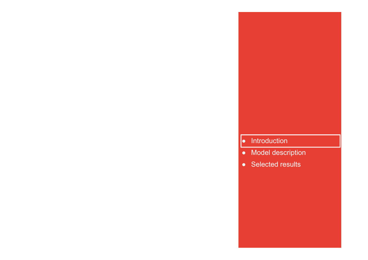#### ● Introduction

- Model description
- Selected results

**Frontier Economics**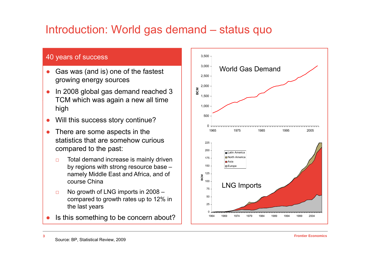### Introduction: World gas demand – status quo

#### 40 years of success

- $\bullet$  Gas was (and is) one of the fastest World Gas Demand growing energy sources
- ● In 2008 global gas demand reached 3 TCM which was again a new all time  $\begin{bmatrix} 1 & 1 & 500 \\ 0 & 1 & 500 \end{bmatrix}$ high
- $\bullet$ Will this success story continue?
- $\bullet$  There are some aspects in the  $\bullet$ statistics that are somehow curious compared to the past:
	- $\Box$ □ Total demand increase is mainly driven by regions with strong resource base – namely Middle East and Africa, and of course China
	- $\Box$ □ No growth of LNG imports in 2008 – compared to growth rates up to 12% in the last years
- ●• Is this something to be concern about?



**3**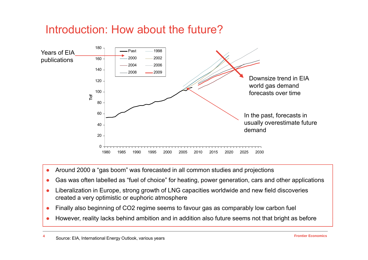#### Introduction: How about the future?



- ●Around 2000 a "gas boom" was forecasted in all common studies and projections
- ●Gas was often labelled as "fuel of choice" for heating, power generation, cars and other applications
- ●• Liberalization in Europe, strong growth of LNG capacities worldwide and new field discoveries created a very optimistic or euphoric atmosphere
- ●Finally also beginning of CO2 regime seems to favour gas as comparably low carbon fuel
- ●• However, reality lacks behind ambition and in addition also future seems not that bright as before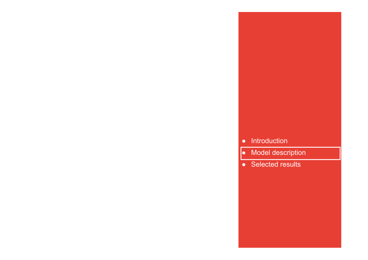#### ●Introduction

**Frontier Economics** 

- Model description
- Selected results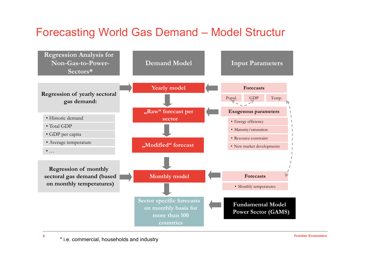#### Forecasting World Gas Demand – Model Structur

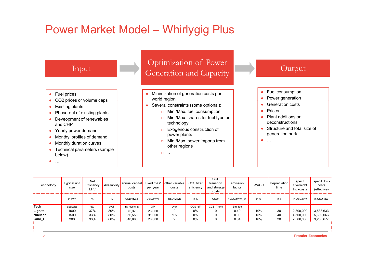#### Power Market Model – Whirlygig Plus



| Technology            | Typical unit<br>size | <b>Net</b><br>Efficiency<br>LHV | Availability | annual capital<br>costs | Fixed O&M<br>per year | other variable<br>costs | CCS filter<br>efficiency | CCS<br>transport<br>and storage<br>costs | emission<br>factor | <b>WACC</b> | <b>Depreciation</b><br>time | specif.<br>Overnight<br>Inv.-costs | specif. Inv.-<br>costs<br>(effective) |
|-----------------------|----------------------|---------------------------------|--------------|-------------------------|-----------------------|-------------------------|--------------------------|------------------------------------------|--------------------|-------------|-----------------------------|------------------------------------|---------------------------------------|
|                       | in MW                | %                               | $\%$         | USD/MWa                 | USD/MWa               | USD/MWh                 | in $%$                   | USD/t                                    | t CO2/MWh th       | in $%$      | in a                        | in USD/MW                          | in USD/MW                             |
| Tech                  | blocksize            | eta                             | avail        | inv_costs_a             | <b>OM</b>             | ovar                    | CCS_eff                  | CCS_Trans                                | Em_fac             |             |                             |                                    |                                       |
| Lignite               | 1000                 | 37%                             | 80%          | 375,376                 | 26,000                |                         | 0%                       |                                          | 0.40               | 10%         | 30                          | 2,800,000                          | 3,538,633                             |
| Nuclear               | 1500                 | 33%                             | 80%          | 856.558                 | 91,000                | 1.5                     | 0%                       |                                          | 0.00               | 15%         | 40                          | 4,500,000                          | 5,689,066                             |
| <mark>i</mark> Coal_1 | 300                  | 33%                             | 80%          | 348,860                 | 26,000                | 2                       | 0%                       |                                          | 0.34               | 10%         | 30                          | 2,500,000                          | 3,288,677                             |
|                       |                      |                                 |              |                         |                       |                         |                          |                                          |                    |             |                             |                                    |                                       |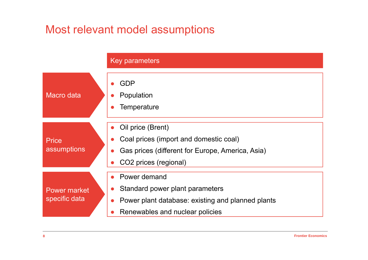### Most relevant model assumptions

|                               | Key parameters                                                                                                                                         |
|-------------------------------|--------------------------------------------------------------------------------------------------------------------------------------------------------|
| <b>Macro</b> data             | <b>GDP</b><br>Population<br>Temperature                                                                                                                |
| <b>Price</b><br>assumptions   | Oil price (Brent)<br>Coal prices (import and domestic coal)<br>Gas prices (different for Europe, America, Asia)<br>CO2 prices (regional)               |
| Power market<br>specific data | • Power demand<br>Standard power plant parameters<br>$\bullet$<br>Power plant database: existing and planned plants<br>Renewables and nuclear policies |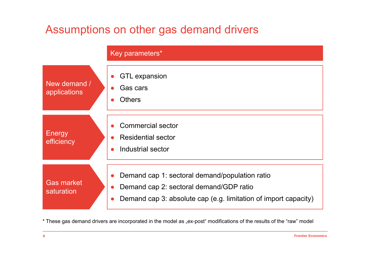### Assumptions on other gas demand drivers



\* These gas demand drivers are incorporated in the model as "ex-post" modifications of the results of the "raw" model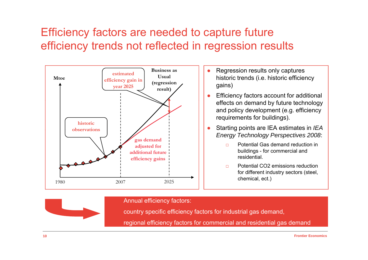## Efficiency factors are needed to capture future efficiency trends not reflected in regression results



Annual efficiency factors:

country specific efficiency factors for industrial gas demand,

regional efficiency factors for commercial and residential gas demand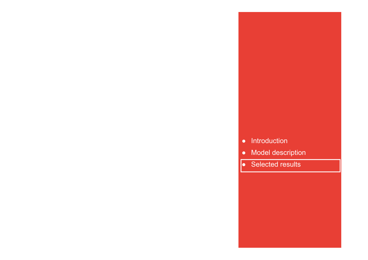#### ● Introduction

**Frontier Economics** 

- Model description
- Selected results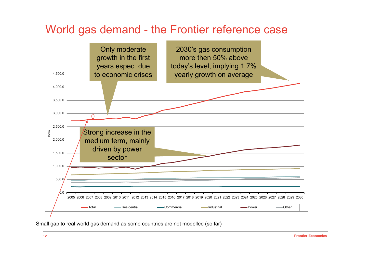#### World gas demand - the Frontier reference case



Small gap to real world gas demand as some countries are not modelled (so far)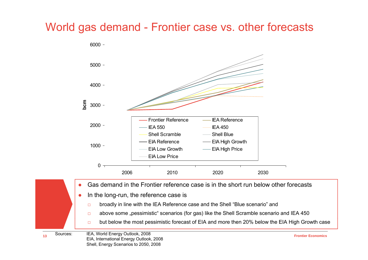# World gas demand - Frontier case vs. other forecasts



- $\Box$ broadly in line with the IEA Reference case and the Shell "Blue scenario" and
- $\Box$ above some "pessimistic" scenarios (for gas) like the Shell Scramble scenario and IEA 450
- □but below the most pessimistic forecast of EIA and more then 20% below the EIA High Growth case

**13**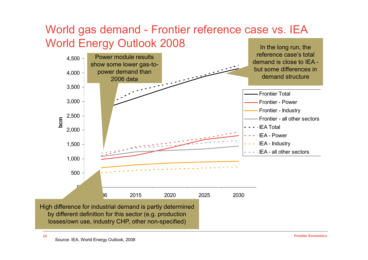

**14**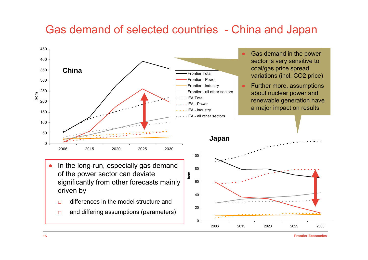#### Gas demand of selected countries - China and Japan

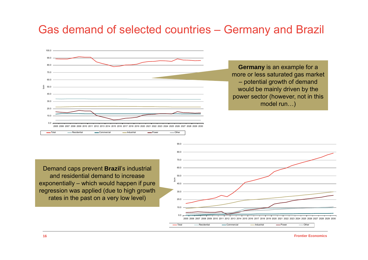#### Gas demand of selected countries – Germany and Brazil

![](_page_15_Figure_1.jpeg)

**Germany** is an example for a more or less saturated gas market – potential growth of demand would be mainly driven by the power sector (however, not in this model run…)

Demand caps prevent **Brazil**'s industrial and residential demand to increase exponentially – which would happen if pure regression was applied (due to high growth rates in the past on a very low level)

![](_page_15_Figure_4.jpeg)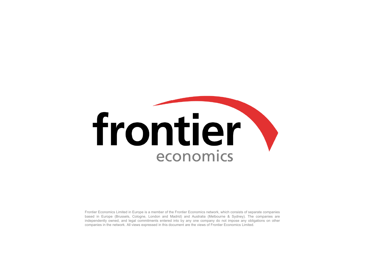# frontier economics

Frontier Economics Limited in Europe is <sup>a</sup> member of the Frontier Economics network, which consists of separate companies based in Europe (Brussels, Cologne, London and Madrid) and Australia (Melbourne & Sydney). The companies are independently owned, and legal commitments entered into by any one company do not impose any obligations on other companies in the network. All views expressed in this document are the views of Frontier Economics Limited.